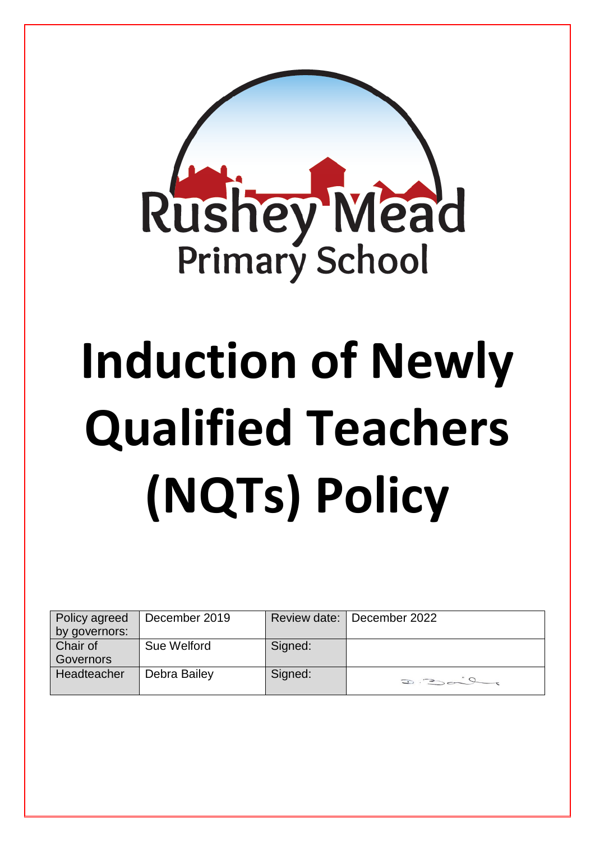

# **Induction of Newly Qualified Teachers (NQTs) Policy**

| Policy agreed | December 2019 |         | Review date:   December 2022 |
|---------------|---------------|---------|------------------------------|
| by governors: |               |         |                              |
| Chair of      | Sue Welford   | Signed: |                              |
| Governors     |               |         |                              |
| Headteacher   | Debra Bailey  | Signed: | $D:Dom^2$                    |
|               |               |         |                              |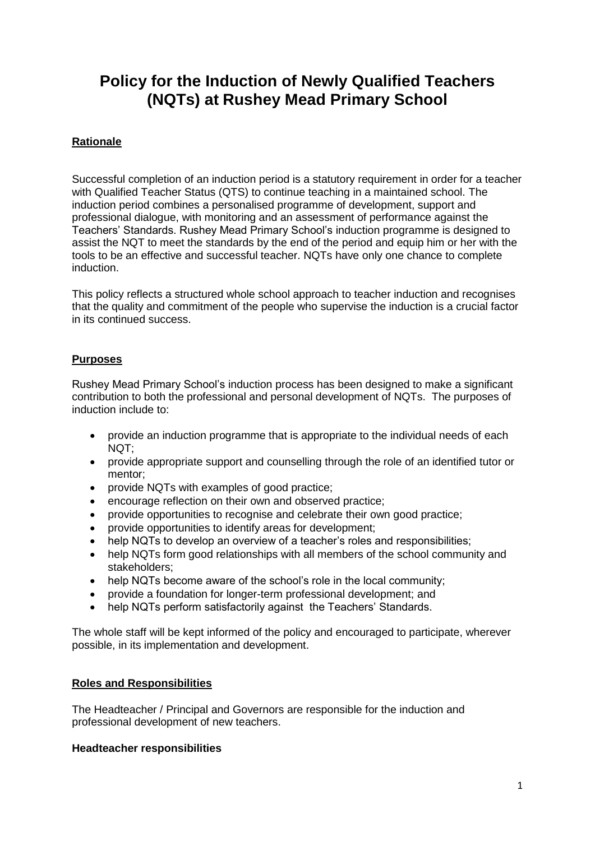# **Policy for the Induction of Newly Qualified Teachers (NQTs) at Rushey Mead Primary School**

# **Rationale**

Successful completion of an induction period is a statutory requirement in order for a teacher with Qualified Teacher Status (QTS) to continue teaching in a maintained school. The induction period combines a personalised programme of development, support and professional dialogue, with monitoring and an assessment of performance against the Teachers' Standards. Rushey Mead Primary School's induction programme is designed to assist the NQT to meet the standards by the end of the period and equip him or her with the tools to be an effective and successful teacher. NQTs have only one chance to complete induction.

This policy reflects a structured whole school approach to teacher induction and recognises that the quality and commitment of the people who supervise the induction is a crucial factor in its continued success.

# **Purposes**

Rushey Mead Primary School's induction process has been designed to make a significant contribution to both the professional and personal development of NQTs. The purposes of induction include to:

- provide an induction programme that is appropriate to the individual needs of each NQT;
- provide appropriate support and counselling through the role of an identified tutor or mentor;
- provide NQTs with examples of good practice;
- encourage reflection on their own and observed practice;
- provide opportunities to recognise and celebrate their own good practice;
- provide opportunities to identify areas for development;
- help NQTs to develop an overview of a teacher's roles and responsibilities;
- help NQTs form good relationships with all members of the school community and stakeholders;
- help NQTs become aware of the school's role in the local community;
- provide a foundation for longer-term professional development; and
- help NQTs perform satisfactorily against the Teachers' Standards.

The whole staff will be kept informed of the policy and encouraged to participate, wherever possible, in its implementation and development.

# **Roles and Responsibilities**

The Headteacher / Principal and Governors are responsible for the induction and professional development of new teachers.

#### **Headteacher responsibilities**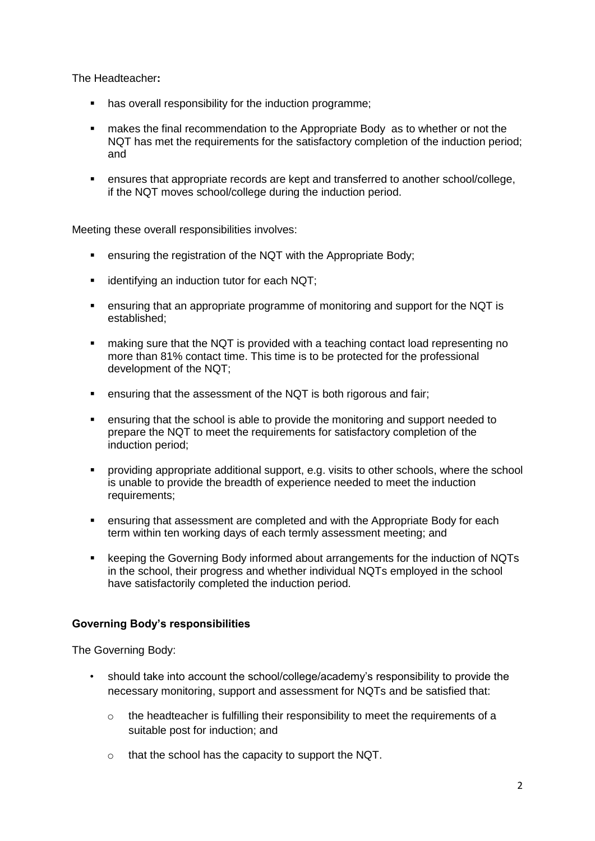The Headteacher**:**

- has overall responsibility for the induction programme;
- makes the final recommendation to the Appropriate Body as to whether or not the NQT has met the requirements for the satisfactory completion of the induction period; and
- ensures that appropriate records are kept and transferred to another school/college, if the NQT moves school/college during the induction period.

Meeting these overall responsibilities involves:

- ensuring the registration of the NQT with the Appropriate Body;
- **EXECT** identifying an induction tutor for each NQT;
- ensuring that an appropriate programme of monitoring and support for the NQT is established;
- **naking sure that the NQT is provided with a teaching contact load representing no** more than 81% contact time. This time is to be protected for the professional development of the NQT;
- ensuring that the assessment of the NQT is both rigorous and fair;
- ensuring that the school is able to provide the monitoring and support needed to prepare the NQT to meet the requirements for satisfactory completion of the induction period;
- providing appropriate additional support, e.g. visits to other schools, where the school is unable to provide the breadth of experience needed to meet the induction requirements;
- ensuring that assessment are completed and with the Appropriate Body for each term within ten working days of each termly assessment meeting; and
- keeping the Governing Body informed about arrangements for the induction of NQTs in the school, their progress and whether individual NQTs employed in the school have satisfactorily completed the induction period.

# **Governing Body's responsibilities**

The Governing Body:

- should take into account the school/college/academy's responsibility to provide the necessary monitoring, support and assessment for NQTs and be satisfied that:
	- $\circ$  the headteacher is fulfilling their responsibility to meet the requirements of a suitable post for induction; and
	- o that the school has the capacity to support the NQT.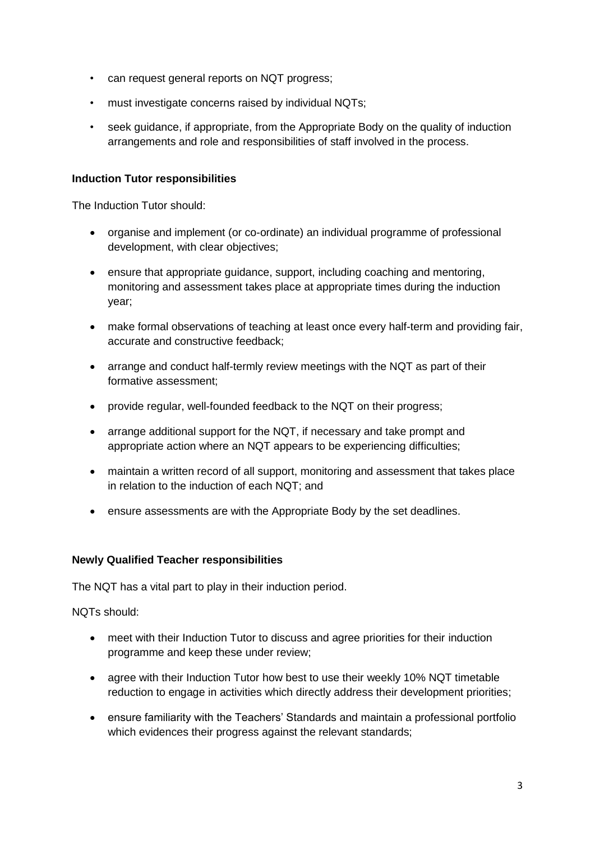- can request general reports on NQT progress;
- must investigate concerns raised by individual NQTs;
- seek guidance, if appropriate, from the Appropriate Body on the quality of induction arrangements and role and responsibilities of staff involved in the process.

#### **Induction Tutor responsibilities**

The Induction Tutor should:

- organise and implement (or co-ordinate) an individual programme of professional development, with clear objectives;
- ensure that appropriate guidance, support, including coaching and mentoring, monitoring and assessment takes place at appropriate times during the induction year;
- make formal observations of teaching at least once every half-term and providing fair, accurate and constructive feedback;
- arrange and conduct half-termly review meetings with the NQT as part of their formative assessment;
- provide regular, well-founded feedback to the NQT on their progress;
- arrange additional support for the NQT, if necessary and take prompt and appropriate action where an NQT appears to be experiencing difficulties;
- maintain a written record of all support, monitoring and assessment that takes place in relation to the induction of each NQT; and
- ensure assessments are with the Appropriate Body by the set deadlines.

#### **Newly Qualified Teacher responsibilities**

The NQT has a vital part to play in their induction period.

NQTs should:

- meet with their Induction Tutor to discuss and agree priorities for their induction programme and keep these under review;
- agree with their Induction Tutor how best to use their weekly 10% NQT timetable reduction to engage in activities which directly address their development priorities;
- ensure familiarity with the Teachers' Standards and maintain a professional portfolio which evidences their progress against the relevant standards;